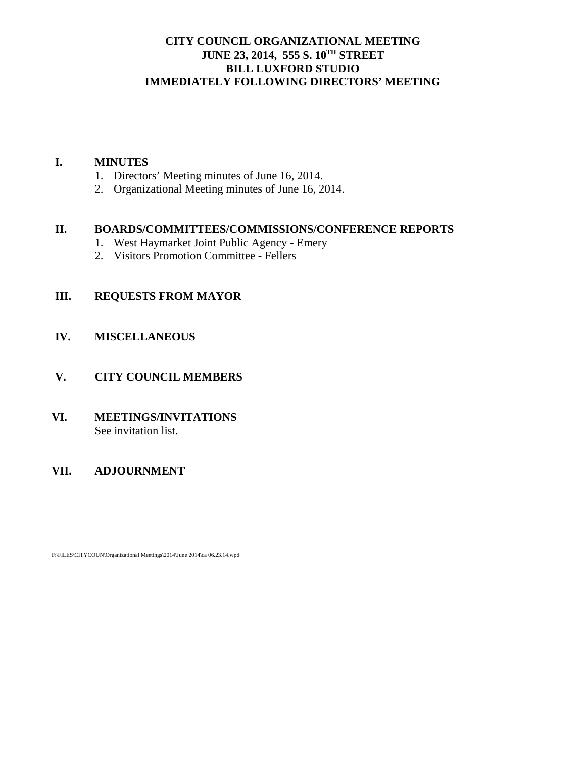## **CITY COUNCIL ORGANIZATIONAL MEETING JUNE 23, 2014, 555 S. 10TH STREET BILL LUXFORD STUDIO IMMEDIATELY FOLLOWING DIRECTORS' MEETING**

#### **I. MINUTES**

- 1. Directors' Meeting minutes of June 16, 2014.
- 2. Organizational Meeting minutes of June 16, 2014.

## **II. BOARDS/COMMITTEES/COMMISSIONS/CONFERENCE REPORTS**

- 1. West Haymarket Joint Public Agency Emery
- 2. Visitors Promotion Committee Fellers

## **III. REQUESTS FROM MAYOR**

#### **IV. MISCELLANEOUS**

#### **V. CITY COUNCIL MEMBERS**

## **VI. MEETINGS/INVITATIONS** See invitation list.

#### **VII. ADJOURNMENT**

F:\FILES\CITYCOUN\Organizational Meetings\2014\June 2014\ca 06.23.14.wpd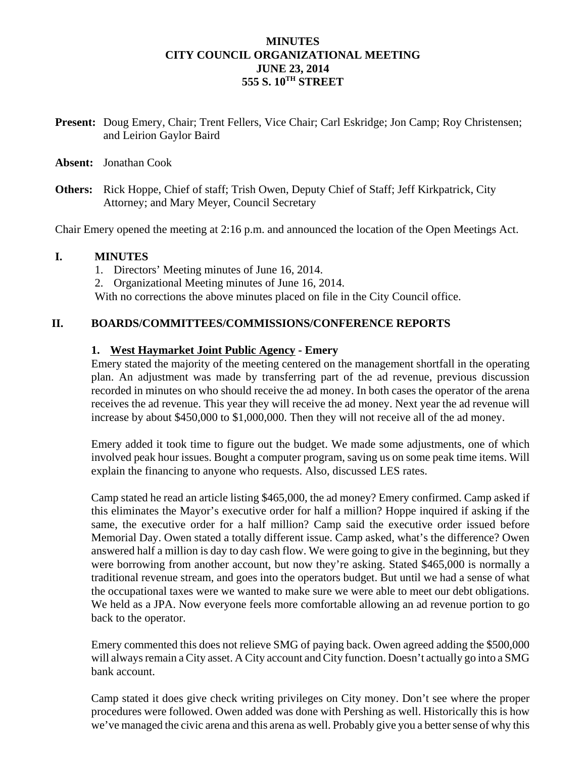## **MINUTES CITY COUNCIL ORGANIZATIONAL MEETING JUNE 23, 2014 555 S. 10TH STREET**

- **Present:** Doug Emery, Chair; Trent Fellers, Vice Chair; Carl Eskridge; Jon Camp; Roy Christensen; and Leirion Gaylor Baird
- **Absent:** Jonathan Cook
- **Others:** Rick Hoppe, Chief of staff; Trish Owen, Deputy Chief of Staff; Jeff Kirkpatrick, City Attorney; and Mary Meyer, Council Secretary

Chair Emery opened the meeting at 2:16 p.m. and announced the location of the Open Meetings Act.

#### **I. MINUTES**

- 1. Directors' Meeting minutes of June 16, 2014.
- 2. Organizational Meeting minutes of June 16, 2014.

With no corrections the above minutes placed on file in the City Council office.

#### **II. BOARDS/COMMITTEES/COMMISSIONS/CONFERENCE REPORTS**

#### **1. West Haymarket Joint Public Agency - Emery**

Emery stated the majority of the meeting centered on the management shortfall in the operating plan. An adjustment was made by transferring part of the ad revenue, previous discussion recorded in minutes on who should receive the ad money. In both cases the operator of the arena receives the ad revenue. This year they will receive the ad money. Next year the ad revenue will increase by about \$450,000 to \$1,000,000. Then they will not receive all of the ad money.

Emery added it took time to figure out the budget. We made some adjustments, one of which involved peak hour issues. Bought a computer program, saving us on some peak time items. Will explain the financing to anyone who requests. Also, discussed LES rates.

Camp stated he read an article listing \$465,000, the ad money? Emery confirmed. Camp asked if this eliminates the Mayor's executive order for half a million? Hoppe inquired if asking if the same, the executive order for a half million? Camp said the executive order issued before Memorial Day. Owen stated a totally different issue. Camp asked, what's the difference? Owen answered half a million is day to day cash flow. We were going to give in the beginning, but they were borrowing from another account, but now they're asking. Stated \$465,000 is normally a traditional revenue stream, and goes into the operators budget. But until we had a sense of what the occupational taxes were we wanted to make sure we were able to meet our debt obligations. We held as a JPA. Now everyone feels more comfortable allowing an ad revenue portion to go back to the operator.

Emery commented this does not relieve SMG of paying back. Owen agreed adding the \$500,000 will always remain a City asset. A City account and City function. Doesn't actually go into a SMG bank account.

Camp stated it does give check writing privileges on City money. Don't see where the proper procedures were followed. Owen added was done with Pershing as well. Historically this is how we've managed the civic arena and this arena as well. Probably give you a better sense of why this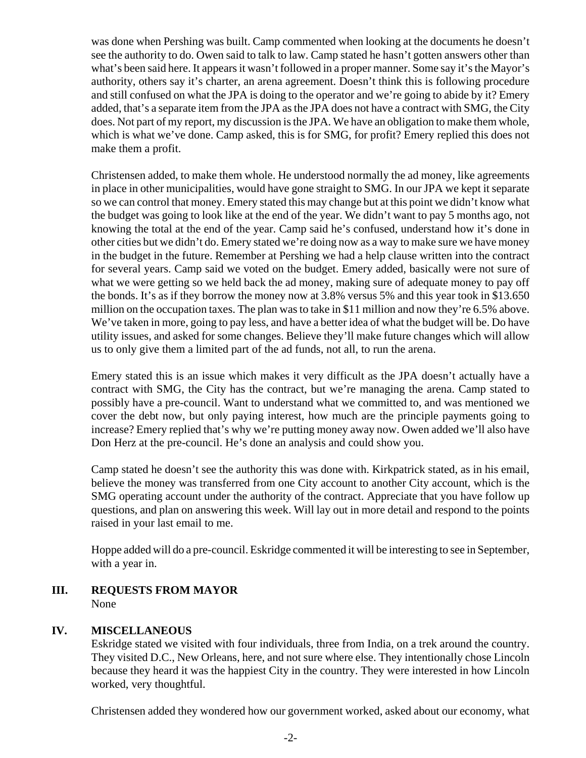was done when Pershing was built. Camp commented when looking at the documents he doesn't see the authority to do. Owen said to talk to law. Camp stated he hasn't gotten answers other than what's been said here. It appears it wasn't followed in a proper manner. Some say it's the Mayor's authority, others say it's charter, an arena agreement. Doesn't think this is following procedure and still confused on what the JPA is doing to the operator and we're going to abide by it? Emery added, that's a separate item from the JPA as the JPA does not have a contract with SMG, the City does. Not part of my report, my discussion is the JPA. We have an obligation to make them whole, which is what we've done. Camp asked, this is for SMG, for profit? Emery replied this does not make them a profit.

Christensen added, to make them whole. He understood normally the ad money, like agreements in place in other municipalities, would have gone straight to SMG. In our JPA we kept it separate so we can control that money. Emery stated this may change but at this point we didn't know what the budget was going to look like at the end of the year. We didn't want to pay 5 months ago, not knowing the total at the end of the year. Camp said he's confused, understand how it's done in other cities but we didn't do. Emery stated we're doing now as a way to make sure we have money in the budget in the future. Remember at Pershing we had a help clause written into the contract for several years. Camp said we voted on the budget. Emery added, basically were not sure of what we were getting so we held back the ad money, making sure of adequate money to pay off the bonds. It's as if they borrow the money now at 3.8% versus 5% and this year took in \$13.650 million on the occupation taxes. The plan was to take in \$11 million and now they're 6.5% above. We've taken in more, going to pay less, and have a better idea of what the budget will be. Do have utility issues, and asked for some changes. Believe they'll make future changes which will allow us to only give them a limited part of the ad funds, not all, to run the arena.

Emery stated this is an issue which makes it very difficult as the JPA doesn't actually have a contract with SMG, the City has the contract, but we're managing the arena. Camp stated to possibly have a pre-council. Want to understand what we committed to, and was mentioned we cover the debt now, but only paying interest, how much are the principle payments going to increase? Emery replied that's why we're putting money away now. Owen added we'll also have Don Herz at the pre-council. He's done an analysis and could show you.

Camp stated he doesn't see the authority this was done with. Kirkpatrick stated, as in his email, believe the money was transferred from one City account to another City account, which is the SMG operating account under the authority of the contract. Appreciate that you have follow up questions, and plan on answering this week. Will lay out in more detail and respond to the points raised in your last email to me.

Hoppe added will do a pre-council. Eskridge commented it will be interesting to see in September, with a year in.

**III. REQUESTS FROM MAYOR** None

## **IV. MISCELLANEOUS**

Eskridge stated we visited with four individuals, three from India, on a trek around the country. They visited D.C., New Orleans, here, and not sure where else. They intentionally chose Lincoln because they heard it was the happiest City in the country. They were interested in how Lincoln worked, very thoughtful.

Christensen added they wondered how our government worked, asked about our economy, what